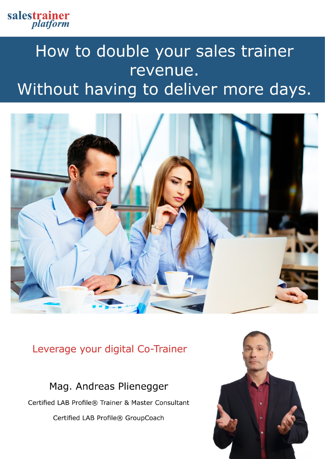

## How to double your sales trainer revenue. Without having to deliver more days.



## Leverage your digital Co-Trainer

Mag. Andreas Plienegger

Certified LAB Profile® Trainer & Master Consultant

Certified LAB Profile® GroupCoach

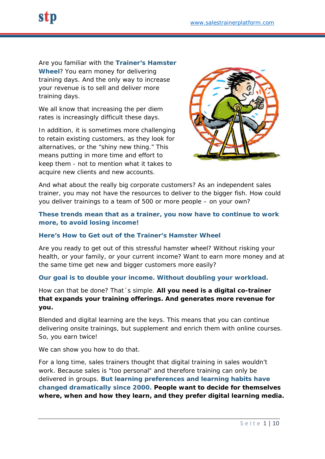Are you familiar with the **Trainer's Hamster Wheel**? You earn money for delivering training days. And the only way to increase your revenue is to sell and deliver more training days.

We all know that increasing the per diem rates is increasingly difficult these days.

In addition, it is sometimes more challenging to retain existing customers, as they look for alternatives, or the "shiny new thing." This means putting in more time and effort to keep them - not to mention what it takes to acquire new clients and new accounts.



And what about the really big corporate customers? As an independent sales trainer, you may not have the resources to deliver to the bigger fish. How could you deliver trainings to a team of 500 or more people – on your own?

#### **These trends mean that as a trainer, you now have to continue to work more, to avoid losing income!**

#### **Here's How to Get out of the Trainer's Hamster Wheel**

Are you ready to get out of this stressful hamster wheel? Without risking your health, or your family, or your current income? Want to earn more money and at the same time get new and bigger customers more easily?

#### **Our goal is to double your income. Without doubling your workload.**

How can that be done? That´s simple. **All you need is a digital co-trainer that expands your training offerings. And generates more revenue for you.**

Blended and digital learning are the keys. This means that you can continue delivering onsite trainings, but supplement and enrich them with online courses. So, you earn twice!

We can show you how to do that.

For a long time, sales trainers thought that digital training in sales wouldn't work. Because sales is "too personal" and therefore training can only be delivered in groups. **But learning preferences and learning habits have changed dramatically since 2000. People want to decide for themselves where, when and how they learn, and they prefer digital learning media.**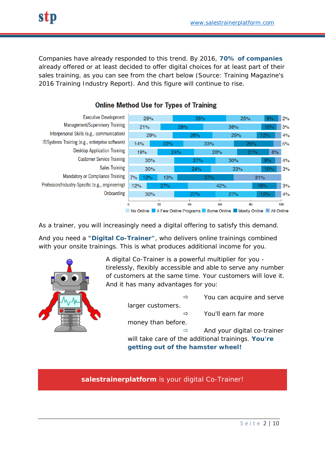Companies have already responded to this trend. By 2016, **70% of companies** already offered or at least decided to offer digital choices for at least part of their sales training, as you can see from the chart below (Source: Training Magazine's 2016 Training Industry Report). And this figure will continue to rise.



#### **Online Method Use for Types of Training**

As a trainer, you will increasingly need a digital offering to satisfy this demand.

And you need a **"Digital Co-Trainer"**, who delivers online trainings combined with your onsite trainings. This is what produces additional income for you.



A digital Co-Trainer is a powerful multiplier for you tirelessly, flexibly accessible and able to serve any number of customers at the same time. Your customers will love it. And it has many advantages for you:

larger customers.

 $\Rightarrow$  You can acquire and serve

 $\Rightarrow$  You'll earn far more

money than before.

 $\Rightarrow$  And your digital co-trainer will take care of the additional trainings. **You're** 

**getting out of the hamster wheel!**

*salestrainerplatform is your digital Co-Trainer!*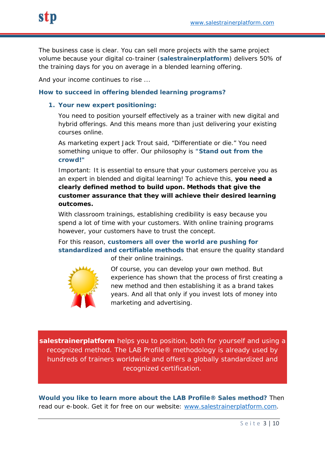The business case is clear. You can sell more projects with the same project volume because your digital co-trainer (**salestrainerplatform**) delivers 50% of the training days for you on average in a blended learning offering.

And your income continues to rise ...

#### **How to succeed in offering blended learning programs?**

#### **1. Your new expert positioning:**

You need to position yourself effectively as a trainer with new digital and hybrid offerings. And this means more than just delivering your existing courses online.

As marketing expert Jack Trout said, "Differentiate or die." You need something unique to offer. Our philosophy is **"Stand out from the crowd!"**

Important: It is essential to ensure that your customers perceive you as an expert in blended and digital learning! To achieve this, **you need a clearly defined method to build upon. Methods that give the customer assurance that they will achieve their desired learning outcomes.**

With classroom trainings, establishing credibility is easy because you spend a lot of time with your customers. With online training programs however, your customers have to trust the concept.

For this reason, **customers all over the world are pushing for standardized and certifiable methods** that ensure the quality standard



of their online trainings.

Of course, you can develop your own method. But experience has shown that the process of first creating a new method and then establishing it as a brand takes years. And all that only if you invest lots of money into marketing and advertising.

*salestrainerplatform helps you to position, both for yourself and using a recognized method. The LAB Profile® methodology is already used by hundreds of trainers worldwide and offers a globally standardized and recognized certification.*

**Would you like to learn more about the LAB Profile® Sales method?** Then read our e-book. Get it for free on our website: [www.salestrainerplatform.com.](http://www.salestrainerplatform.com/)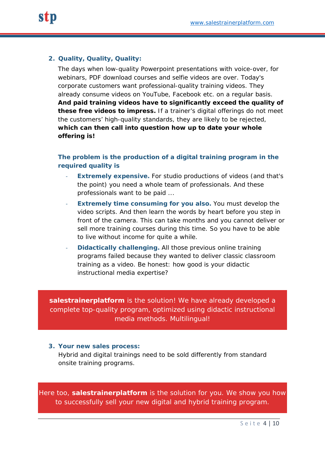#### **2. Quality, Quality, Quality:**

The days when low-quality Powerpoint presentations with voice-over, for webinars, PDF download courses and selfie videos are over. Today's corporate customers want professional-quality training videos. They already consume videos on YouTube, Facebook etc. on a regular basis. **And paid training videos have to significantly exceed the quality of these free videos to impress.** If a trainer's digital offerings do not meet the customers' high-quality standards, they are likely to be rejected, **which can then call into question how up to date your whole offering is!**

#### **The problem is the production of a digital training program in the required quality is**

- **Extremely expensive.** For studio productions of videos (and that's the point) you need a whole team of professionals. And these professionals want to be paid ...
- **Extremely time consuming for you also.** You must develop the video scripts. And then learn the words by heart before you step in front of the camera. This can take months and you cannot deliver or sell more training courses during this time. So you have to be able to live without income for quite a while.
- **Didactically challenging.** All those previous online training programs failed because they wanted to deliver classic classroom training as a video. Be honest: how good is your didactic instructional media expertise?

*salestrainerplatform is the solution! We have already developed a complete top-quality program, optimized using didactic instructional media methods. Multilingual!*

#### **3. Your new sales process:**

Hybrid and digital trainings need to be sold differently from standard onsite training programs.

*Here too, salestrainerplatform is the solution for you. We show you how to successfully sell your new digital and hybrid training program.*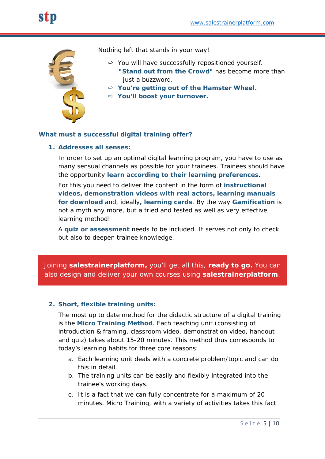

Nothing left that stands in your way!

- $\Rightarrow$  You will have successfully repositioned yourself.  **"Stand out from the Crowd"** has become more than **iust a buzzword.**
- **You're getting out of the Hamster Wheel.**
- **You'll boost your turnover.**

#### **What must a successful digital training offer?**

#### **1. Addresses all senses:**

In order to set up an optimal digital learning program, you have to use as many sensual channels as possible for your trainees. Trainees should have the opportunity **learn according to their learning preferences**.

For this you need to deliver the content in the form of **instructional videos, demonstration videos with real actors, learning manuals for download** and, ideally**, learning cards**. By the way **Gamification** is not a myth any more, but a tried and tested as well as very effective learning method!

A **quiz or assessment** needs to be included. It serves not only to check but also to deepen trainee knowledge.

*Joining salestrainerplatform, you'll get all this, ready to go. You can also design and deliver your own courses using salestrainerplatform.*

#### **2. Short, flexible training units:**

The most up to date method for the didactic structure of a digital training is the **Micro Training Method**. Each teaching unit (consisting of introduction & framing, classroom video, demonstration video, handout and quiz) takes about 15-20 minutes. This method thus corresponds to today's learning habits for three core reasons:

- a. Each learning unit deals with a concrete problem/topic and can do this in detail.
- b. The training units can be easily and flexibly integrated into the trainee's working days.
- c. It is a fact that we can fully concentrate for a maximum of 20 minutes. Micro Training, with a variety of activities takes this fact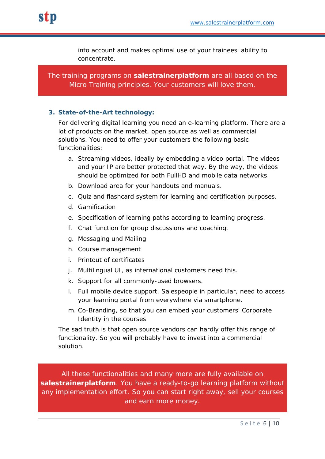into account and makes optimal use of your trainees' ability to concentrate.

*The training programs on salestrainerplatform are all based on the Micro Training principles. Your customers will love them.*

#### **3. State-of-the-Art technology:**

For delivering digital learning you need an e-learning platform. There are a lot of products on the market, open source as well as commercial solutions. You need to offer your customers the following basic functionalities:

- a. *Streaming videos,* ideally by embedding a video portal. The videos and your IP are better protected that way. By the way, the videos should be optimized for both FullHD and mobile data networks.
- b. *Download area* for your handouts and manuals.
- c. *Quiz and flashcard system* for learning and certification purposes.
- *d. Gamification*
- e. *Specification of learning paths* according to learning progress*.*
- f. *Chat function* for group discussions and coaching.
- *g. Messaging und Mailing*
- *h. Course management*
- i. *Printout of certificates*
- j. *Multilingual UI,* as international customers need this.
- k. *Support for all commonly-used browsers*.
- l. *Full mobile device support.* Salespeople in particular, need to access your learning portal from everywhere via smartphone.
- m. *Co-Branding*, so that you can embed your customers' Corporate Identity in the courses

The sad truth is that open source vendors can hardly offer this range of functionality. So you will probably have to invest into a commercial solution.

*All these functionalities and many more are fully available on salestrainerplatform. You have a ready-to-go learning platform without any implementation effort. So you can start right away, sell your courses and earn more money.*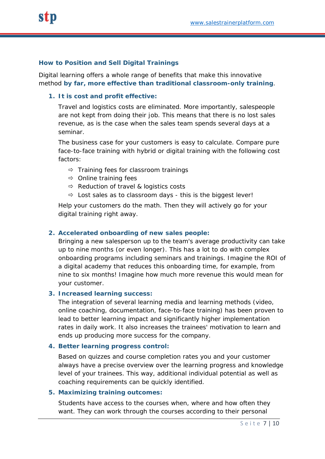#### **How to Position and Sell Digital Trainings**

Digital learning offers a whole range of benefits that make this innovative method **by far, more effective than traditional classroom-only training**.

#### **1. It is cost and profit effective:**

Travel and logistics costs are eliminated. More importantly, salespeople are not kept from doing their job. This means that there is no lost sales revenue, as is the case when the sales team spends several days at a seminar.

The business case for your customers is easy to calculate. Compare pure face-to-face training with hybrid or digital training with the following cost factors:

- $\Rightarrow$  Training fees for classroom trainings
- $\Rightarrow$  Online training fees
- $\Rightarrow$  Reduction of travel & logistics costs
- $\Rightarrow$  Lost sales as to classroom days this is the biggest lever!

Help your customers do the math. Then they will actively go for your digital training right away.

#### **2. Accelerated onboarding of new sales people:**

Bringing a new salesperson up to the team's average productivity can take up to nine months (or even longer). This has a lot to do with complex onboarding programs including seminars and trainings. Imagine the ROI of a digital academy that reduces this onboarding time, for example, from nine to six months! Imagine how much more revenue this would mean for your customer.

#### **3. Increased learning success:**

The integration of several learning media and learning methods (video, online coaching, documentation, face-to-face training) has been proven to lead to better learning impact and significantly higher implementation rates in daily work. It also increases the trainees' motivation to learn and ends up producing more success for the company.

#### **4. Better learning progress control:**

Based on quizzes and course completion rates you and your customer always have a precise overview over the learning progress and knowledge level of your trainees. This way, additional individual potential as well as coaching requirements can be quickly identified.

#### **5. Maximizing training outcomes:**

Students have access to the courses when, where and how often they want. They can work through the courses according to their personal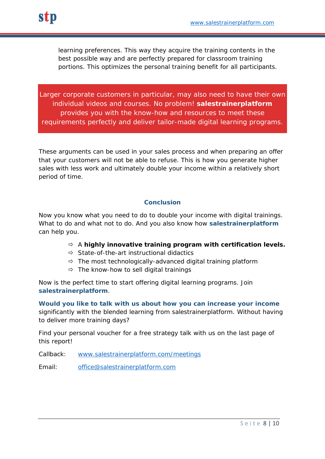learning preferences. This way they acquire the training contents in the best possible way and are perfectly prepared for classroom training portions. This optimizes the personal training benefit for all participants.

*Larger corporate customers in particular, may also need to have their own individual videos and courses. No problem! salestrainerplatform provides you with the know-how and resources to meet these requirements perfectly and deliver tailor-made digital learning programs.*

These arguments can be used in your sales process and when preparing an offer that your customers will not be able to refuse. This is how you generate higher sales with less work and ultimately double your income within a relatively short period of time.

#### **Conclusion**

Now you know what you need to do to double your income with digital trainings. What to do and what not to do. And you also know how **salestrainerplatform** can help you.

#### A **highly innovative training program with certification levels.**

- $\Rightarrow$  State-of-the-art instructional didactics
- $\Rightarrow$  The most technologically-advanced digital training platform
- $\Rightarrow$  The know-how to sell digital trainings

Now is the perfect time to start offering digital learning programs. Join **salestrainerplatform**.

**Would you like to talk with us about how you can increase your income** significantly with the blended learning from salestrainerplatform. Without having to deliver more training days?

Find your personal voucher for a free strategy talk with us on the last page of this report!

Callback: [www.salestrainerplatform.com/meetings](http://www.salestrainerplatform.com/meetings)

Email: [office@salestrainerplatform.com](mailto:office@salestrainerplatform.com)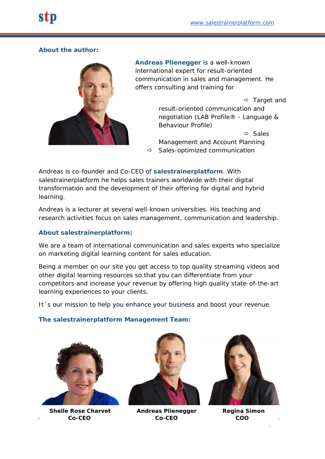#### **About the author:**



**Andreas Plienegger** is a well-known international expert for result-oriented communication in sales and management. He offers consulting and training for

> $\Rightarrow$  Target and result-oriented communication and negotiation (LAB Profile® - Language & Behaviour Profile)

 $\Rightarrow$  Sales Management and Account Planning  $\Rightarrow$  Sales-optimized communication

Andreas is co-founder and Co-CEO of **salestrainerplatform**. With salestrainerplatform he helps sales trainers worldwide with their digital transformation and the development of their offering for digital and hybrid learning.

Andreas is a lecturer at several well-known universities. His teaching and research activities focus on sales management, communication and leadership.

#### **About salestrainerplatform:**

We are a team of international communication and sales experts who specialize on marketing digital learning content for sales education.

Being a member on our site you get access to top quality streaming videos and other digital learning resources so that you can differentiate from your competitors and increase your revenue by offering high quality state-of-the-art learning experiences to your clients.

It 's our mission to help you enhance your business and boost your revenue.

#### **The salestrainerplatform Management Team:**



 **Shelle Rose Charvet Andreas Plienegger Regina Simon Co-CEO Co-CEO COO**